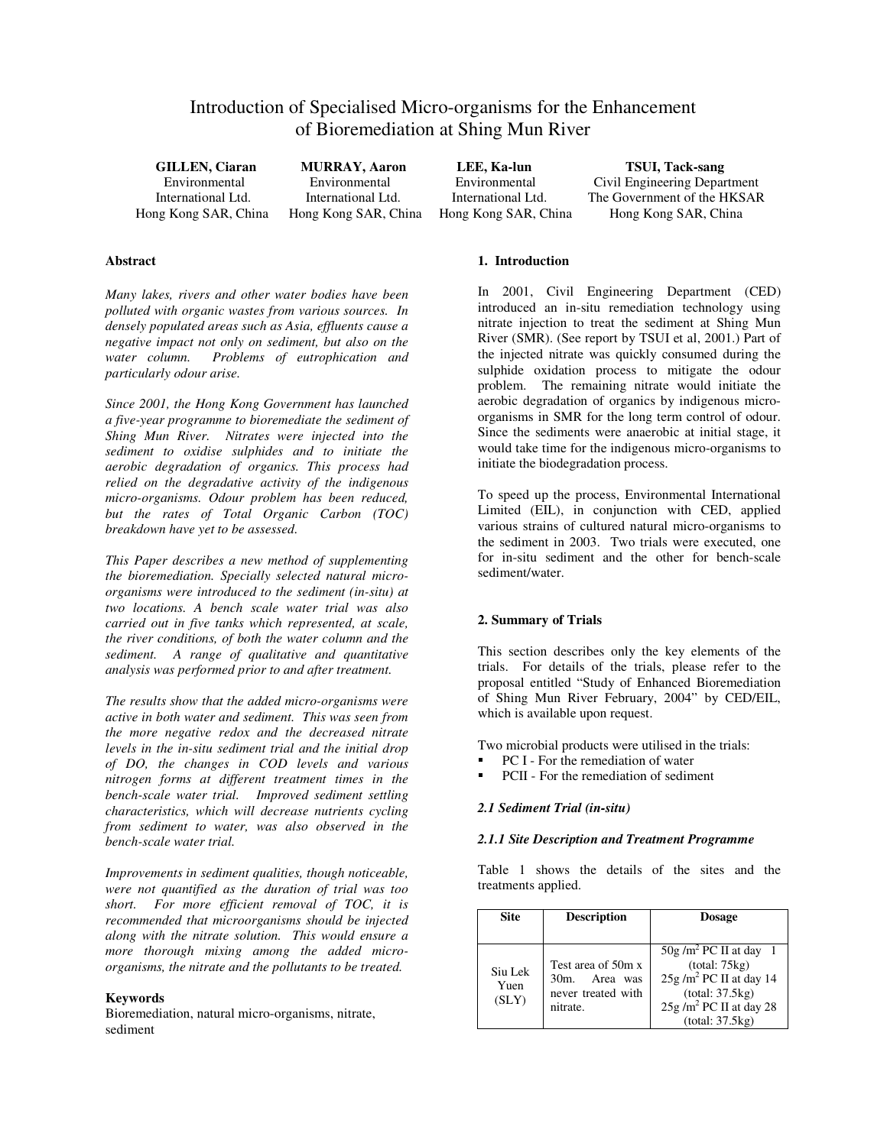# Introduction of Specialised Micro-organisms for the Enhancement of Bioremediation at Shing Mun River

**GILLEN, Ciaran MURRAY, Aaron LEE, Ka-lun TSUI, Tack-sang**<br>
Environmental Environmental Civil Engineering Depar

Environmental Environmental Environmental Civil Engineering Department<br>
International Ltd. International Ltd. International Ltd. The Government of the HKSAR The Government of the HKSAR Hong Kong SAR, China Hong Kong SAR, China Hong Kong SAR, China Hong Kong SAR, China

# **Abstract**

*Many lakes, rivers and other water bodies have been polluted with organic wastes from various sources. In densely populated areas such as Asia, effluents cause a negative impact not only on sediment, but also on the water column. Problems of eutrophication and particularly odour arise.*

*Since 2001, the Hong Kong Government has launched a five-year programme to bioremediate the sediment of Shing Mun River. Nitrates were injected into the sediment to oxidise sulphides and to initiate the aerobic degradation of organics. This process had relied on the degradative activity of the indigenous micro-organisms. Odour problem has been reduced, but the rates of Total Organic Carbon (TOC) breakdown have yet to be assessed.* 

*This Paper describes a new method of supplementing the bioremediation. Specially selected natural microorganisms were introduced to the sediment (in-situ) at two locations. A bench scale water trial was also carried out in five tanks which represented, at scale, the river conditions, of both the water column and the sediment. A range of qualitative and quantitative analysis was performed prior to and after treatment.*

*The results show that the added micro-organisms were active in both water and sediment. This was seen from the more negative redox and the decreased nitrate levels in the in-situ sediment trial and the initial drop of DO, the changes in COD levels and various nitrogen forms at different treatment times in the bench-scale water trial. Improved sediment settling characteristics, which will decrease nutrients cycling from sediment to water, was also observed in the bench-scale water trial.* 

*Improvements in sediment qualities, though noticeable, were not quantified as the duration of trial was too short. For more efficient removal of TOC, it is recommended that microorganisms should be injected along with the nitrate solution. This would ensure a more thorough mixing among the added microorganisms, the nitrate and the pollutants to be treated.*

# **Keywords**

Bioremediation, natural micro-organisms, nitrate, sediment

#### **1. Introduction**

In 2001, Civil Engineering Department (CED) introduced an in-situ remediation technology using nitrate injection to treat the sediment at Shing Mun River (SMR). (See report by TSUI et al, 2001.) Part of the injected nitrate was quickly consumed during the sulphide oxidation process to mitigate the odour problem. The remaining nitrate would initiate the aerobic degradation of organics by indigenous microorganisms in SMR for the long term control of odour. Since the sediments were anaerobic at initial stage, it would take time for the indigenous micro-organisms to initiate the biodegradation process.

To speed up the process, Environmental International Limited (EIL), in conjunction with CED, applied various strains of cultured natural micro-organisms to the sediment in 2003. Two trials were executed, one for in-situ sediment and the other for bench-scale sediment/water.

# **2. Summary of Trials**

This section describes only the key elements of the trials. For details of the trials, please refer to the proposal entitled "Study of Enhanced Bioremediation of Shing Mun River February, 2004" by CED/EIL, which is available upon request.

Two microbial products were utilised in the trials:

- PC I For the remediation of water
- PCII For the remediation of sediment

### *2.1 Sediment Trial (in-situ)*

### *2.1.1 Site Description and Treatment Programme*

Table 1 shows the details of the sites and the treatments applied.

| <b>Site</b>              | <b>Description</b>                                                 | <b>Dosage</b>                                                                            |
|--------------------------|--------------------------------------------------------------------|------------------------------------------------------------------------------------------|
| Siu Lek<br>Yuen<br>(SLY) | Test area of 50m x<br>Area<br>$30m$ .<br>was<br>never treated with | $50g/m^2$ PC II at day 1<br>(total: 75kg)<br>$25g/m2 PC II$ at day 14<br>(total: 37.5kg) |
|                          | nitrate.                                                           | 25g /m <sup>2</sup> PC II at day 28<br>(total: 37.5kg)                                   |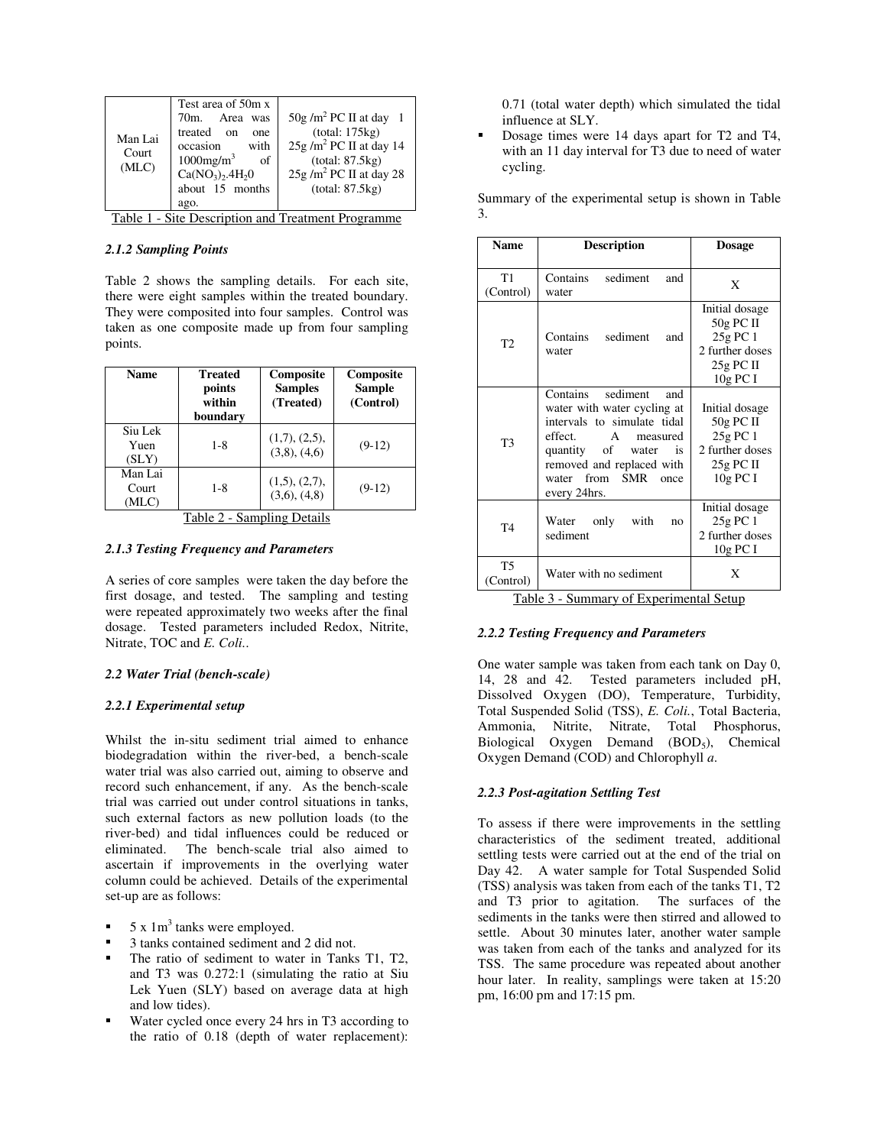| Man Lai<br>Court<br>(MLC)                          | Test area of 50m x<br>70m. Area<br>was<br>treated on<br>one<br>occasion<br>with<br>$1000$ mg/m <sup>3</sup><br><sub>of</sub><br>Ca(NO <sub>3</sub> ), 4H <sub>2</sub> 0 | $50g/m^2$ PC II at day 1<br>(total: 175kg)<br>$25g/m2 PC II$ at day 14<br>(total: 87.5kg)<br>$25g/m2 PC II$ at day 28 |  |
|----------------------------------------------------|-------------------------------------------------------------------------------------------------------------------------------------------------------------------------|-----------------------------------------------------------------------------------------------------------------------|--|
|                                                    | about 15 months                                                                                                                                                         | (total: 87.5kg)                                                                                                       |  |
|                                                    | ago.                                                                                                                                                                    |                                                                                                                       |  |
| Table 1 - Site Description and Treatment Programme |                                                                                                                                                                         |                                                                                                                       |  |

# *2.1.2 Sampling Points*

Table 2 shows the sampling details. For each site, there were eight samples within the treated boundary. They were composited into four samples. Control was taken as one composite made up from four sampling points.

| <b>Name</b>               | Treated<br>points<br>within<br>boundary | Composite<br><b>Samples</b><br>(Treated) | Composite<br><b>Sample</b><br>(Control) |
|---------------------------|-----------------------------------------|------------------------------------------|-----------------------------------------|
| Siu Lek<br>Yuen<br>(SLY)  | $1 - 8$                                 | (1,7), (2,5),<br>$(3,8)$ , $(4,6)$       | $(9-12)$                                |
| Man Lai<br>Court<br>(MLC) | $1 - 8$                                 | (1,5), (2,7),<br>$(3,6)$ , $(4,8)$       | $(9-12)$                                |

Table 2 - Sampling Details

# *2.1.3 Testing Frequency and Parameters*

A series of core samples were taken the day before the first dosage, and tested. The sampling and testing were repeated approximately two weeks after the final dosage. Tested parameters included Redox, Nitrite, Nitrate, TOC and *E. Coli.*.

### *2.2 Water Trial (bench-scale)*

### *2.2.1 Experimental setup*

Whilst the in-situ sediment trial aimed to enhance biodegradation within the river-bed, a bench-scale water trial was also carried out, aiming to observe and record such enhancement, if any. As the bench-scale trial was carried out under control situations in tanks, such external factors as new pollution loads (to the river-bed) and tidal influences could be reduced or eliminated. The bench-scale trial also aimed to ascertain if improvements in the overlying water column could be achieved. Details of the experimental set-up are as follows:

- 5 x 1m<sup>3</sup> tanks were employed.
- 3 tanks contained sediment and 2 did not.
- The ratio of sediment to water in Tanks T1, T2, and T3 was 0.272:1 (simulating the ratio at Siu Lek Yuen (SLY) based on average data at high and low tides).
- Water cycled once every 24 hrs in T3 according to the ratio of 0.18 (depth of water replacement):

0.71 (total water depth) which simulated the tidal influence at SLY.

 Dosage times were 14 days apart for T2 and T4, with an 11 day interval for T3 due to need of water cycling.

Summary of the experimental setup is shown in Table 3.

| <b>Name</b>          | <b>Description</b>                                                                                                                                                                                                | <b>Dosage</b>                                                                             |
|----------------------|-------------------------------------------------------------------------------------------------------------------------------------------------------------------------------------------------------------------|-------------------------------------------------------------------------------------------|
| T1<br>(Control)      | Contains sediment<br>and<br>water                                                                                                                                                                                 | X                                                                                         |
| T <sub>2</sub>       | Contains sediment<br>and<br>water                                                                                                                                                                                 | Initial dosage<br>$50g$ PC II<br>25g PC 1<br>2 further doses<br>$25g$ PC II<br>10g PC I   |
| T <sub>3</sub>       | Contains<br>sediment<br>and<br>water with water cycling at<br>intervals to simulate tidal<br>effect.<br>A measured<br>quantity of water is<br>removed and replaced with<br>water from SMR<br>once<br>every 24hrs. | Initial dosage<br>$50g$ PC II<br>25g PC 1<br>2 further doses<br>$25g$ PC II<br>$10g$ PC I |
| T <sub>4</sub>       | Water only with<br>no<br>sediment                                                                                                                                                                                 | Initial dosage<br>25g PC 1<br>2 further doses<br>10g PC I                                 |
| T5<br>(Control)<br>. | Water with no sediment<br>$\sim$ $-$<br>$\cdot$                                                                                                                                                                   | X<br>$\sim$                                                                               |

Table 3 - Summary of Experimental Setup

### *2.2.2 Testing Frequency and Parameters*

One water sample was taken from each tank on Day 0, 14, 28 and 42. Tested parameters included pH, Dissolved Oxygen (DO), Temperature, Turbidity, Total Suspended Solid (TSS), *E. Coli.*, Total Bacteria, Ammonia, Nitrite, Nitrate, Total Phosphorus, Biological Oxygen Demand (BOD<sub>5</sub>), Chemical Oxygen Demand (COD) and Chlorophyll *a*.

# *2.2.3 Post-agitation Settling Test*

To assess if there were improvements in the settling characteristics of the sediment treated, additional settling tests were carried out at the end of the trial on Day 42. A water sample for Total Suspended Solid (TSS) analysis was taken from each of the tanks T1, T2 and T3 prior to agitation. The surfaces of the sediments in the tanks were then stirred and allowed to settle. About 30 minutes later, another water sample was taken from each of the tanks and analyzed for its TSS. The same procedure was repeated about another hour later. In reality, samplings were taken at 15:20 pm, 16:00 pm and 17:15 pm.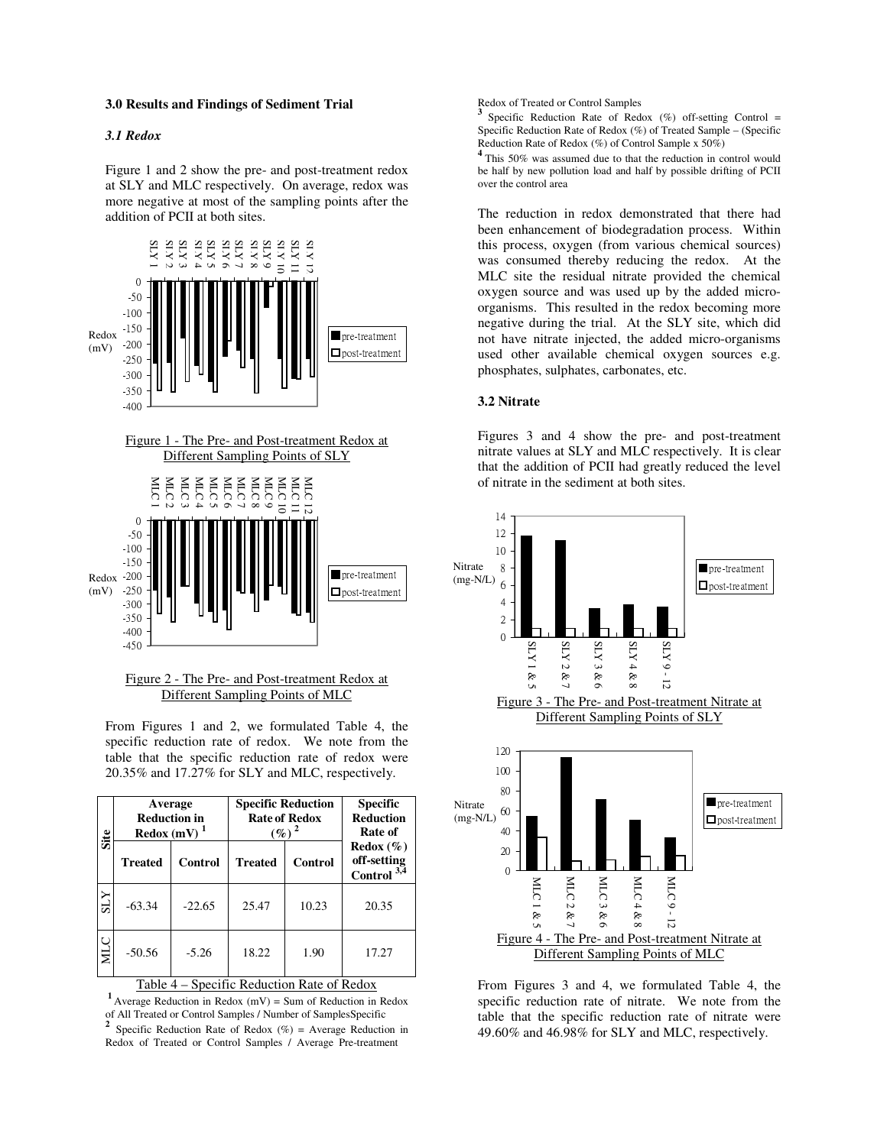#### **3.0 Results and Findings of Sediment Trial**

# *3.1 Redox*

Figure 1 and 2 show the pre- and post-treatment redox at SLY and MLC respectively. On average, redox was more negative at most of the sampling points after the addition of PCII at both sites.



# Figure 2 - The Pre- and Post-treatment Redox at Different Sampling Points of MLC

From Figures 1 and 2, we formulated Table 4, the specific reduction rate of redox. We note from the table that the specific reduction rate of redox were 20.35% and 17.27% for SLY and MLC, respectively.

| Site       | Average<br><b>Reduction in</b><br>Redox $(mV)^1$ |          | <b>Specific Reduction</b><br><b>Rate of Redox</b><br>$(\%)^2$ |         | <b>Specific</b><br><b>Reduction</b><br>Rate of |
|------------|--------------------------------------------------|----------|---------------------------------------------------------------|---------|------------------------------------------------|
|            | <b>Treated</b>                                   | Control  | <b>Treated</b>                                                | Control | Redox(%)<br>off-setting<br>Control $3,4$       |
| <b>ZTS</b> | $-63.34$                                         | $-22.65$ | 25.47                                                         | 10.23   | 20.35                                          |
| <b>MLC</b> | $-50.56$                                         | $-5.26$  | 18.22                                                         | 1.90    | 17.27                                          |

Table 4 – Specific Reduction Rate of Redox

<sup>1</sup> Average Reduction in Redox  $(mV)$  = Sum of Reduction in Redox of All Treated or Control Samples / Number of SamplesSpecific **2** Specific Reduction Rate of Redox  $(\%)$  = Average Reduction in Redox of Treated or Control Samples / Average Pre-treatment

Redox of Treated or Control Samples

**3** Specific Reduction Rate of Redox  $(\%)$  off-setting Control = Specific Reduction Rate of Redox (%) of Treated Sample – (Specific Reduction Rate of Redox  $(\%)$  of Control Sample x 50%)

<sup>4</sup> This 50% was assumed due to that the reduction in control would be half by new pollution load and half by possible drifting of PCII over the control area

The reduction in redox demonstrated that there had been enhancement of biodegradation process. Within this process, oxygen (from various chemical sources) was consumed thereby reducing the redox. At the MLC site the residual nitrate provided the chemical oxygen source and was used up by the added microorganisms. This resulted in the redox becoming more negative during the trial. At the SLY site, which did not have nitrate injected, the added micro-organisms used other available chemical oxygen sources e.g. phosphates, sulphates, carbonates, etc.

### **3.2 Nitrate**

Figures 3 and 4 show the pre- and post-treatment nitrate values at SLY and MLC respectively. It is clear that the addition of PCII had greatly reduced the level of nitrate in the sediment at both sites.



From Figures 3 and 4, we formulated Table 4, the specific reduction rate of nitrate. We note from the table that the specific reduction rate of nitrate were 49.60% and 46.98% for SLY and MLC, respectively.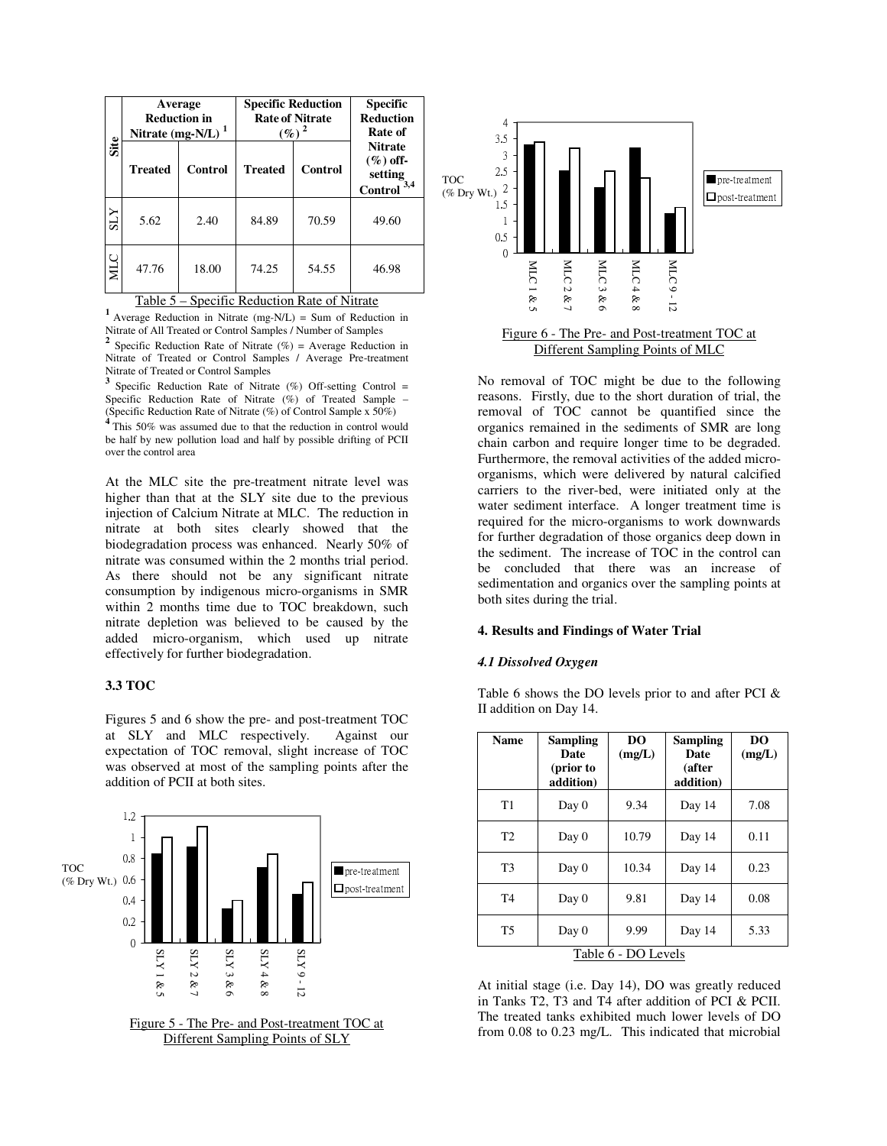|            | Average<br><b>Reduction in</b><br>Nitrate (mg-N/L) $1$ |         | <b>Specific Reduction</b><br><b>Rate of Nitrate</b><br>$(\%)^2$ |         | <b>Specific</b><br><b>Reduction</b><br>Rate of            |
|------------|--------------------------------------------------------|---------|-----------------------------------------------------------------|---------|-----------------------------------------------------------|
| Site       | <b>Treated</b>                                         | Control | <b>Treated</b>                                                  | Control | <b>Nitrate</b><br>$(\%)$ off-<br>setting<br>Control $3,4$ |
| <b>XTS</b> | 5.62                                                   | 2.40    | 84.89                                                           | 70.59   | 49.60                                                     |
| МLС        | 47.76                                                  | 18.00   | 74.25                                                           | 54.55   | 46.98                                                     |

Table 5 – Specific Reduction Rate of Nitrate

<sup>1</sup> Average Reduction in Nitrate (mg-N/L) = Sum of Reduction in Nitrate of All Treated or Control Samples / Number of Samples<br><sup>2</sup> Specific Beduction Reta of Nitrate (%) = Average Beduction Specific Reduction Rate of Nitrate  $(\%)$  = Average Reduction in Nitrate of Treated or Control Samples / Average Pre-treatment Nitrate of Treated or Control Samples

<sup>3</sup> Specific Reduction Rate of Nitrate  $(\%)$  Off-setting Control = Specific Reduction Rate of Nitrate (%) of Treated Sample -(Specific Reduction Rate of Nitrate  $(\%)$  of Control Sample x 50%)<br><sup>4</sup> This 50%, we assumed due to that the reduction in eartiel we

This 50% was assumed due to that the reduction in control would be half by new pollution load and half by possible drifting of PCII over the control area

At the MLC site the pre-treatment nitrate level was higher than that at the SLY site due to the previous injection of Calcium Nitrate at MLC. The reduction in nitrate at both sites clearly showed that the biodegradation process was enhanced. Nearly 50% of nitrate was consumed within the 2 months trial period. As there should not be any significant nitrate consumption by indigenous micro-organisms in SMR within 2 months time due to TOC breakdown, such nitrate depletion was believed to be caused by the added micro-organism, which used up nitrate effectively for further biodegradation.

# **3.3 TOC**

Figures 5 and 6 show the pre- and post-treatment TOC at SLY and MLC respectively. Against our expectation of TOC removal, slight increase of TOC was observed at most of the sampling points after the addition of PCII at both sites.







Different Sampling Points of MLC

No removal of TOC might be due to the following reasons. Firstly, due to the short duration of trial, the removal of TOC cannot be quantified since the organics remained in the sediments of SMR are long chain carbon and require longer time to be degraded. Furthermore, the removal activities of the added microorganisms, which were delivered by natural calcified carriers to the river-bed, were initiated only at the water sediment interface. A longer treatment time is required for the micro-organisms to work downwards for further degradation of those organics deep down in the sediment. The increase of TOC in the control can be concluded that there was an increase of sedimentation and organics over the sampling points at both sites during the trial.

### **4. Results and Findings of Water Trial**

# *4.1 Dissolved Oxygen*

Table 6 shows the DO levels prior to and after PCI & II addition on Day 14.

| <b>Name</b>         | Sampling<br>Date<br>(prior to<br>addition) | DO<br>(mg/L) | <b>Sampling</b><br>Date<br>(after<br>addition) | DO<br>(mg/L) |
|---------------------|--------------------------------------------|--------------|------------------------------------------------|--------------|
| T1                  | Day 0                                      | 9.34         | Day 14                                         | 7.08         |
| T2                  | Day 0                                      | 10.79        | Day 14                                         | 0.11         |
| T <sub>3</sub>      | Day 0                                      | 10.34        | Day 14                                         | 0.23         |
| T <sub>4</sub>      | Day 0                                      | 9.81         | Day 14                                         | 0.08         |
| T5                  | Day 0                                      | 9.99         | Day 14                                         | 5.33         |
| Table 6 - DO Levels |                                            |              |                                                |              |

At initial stage (i.e. Day 14), DO was greatly reduced in Tanks T2, T3 and T4 after addition of PCI & PCII. The treated tanks exhibited much lower levels of DO from 0.08 to 0.23 mg/L. This indicated that microbial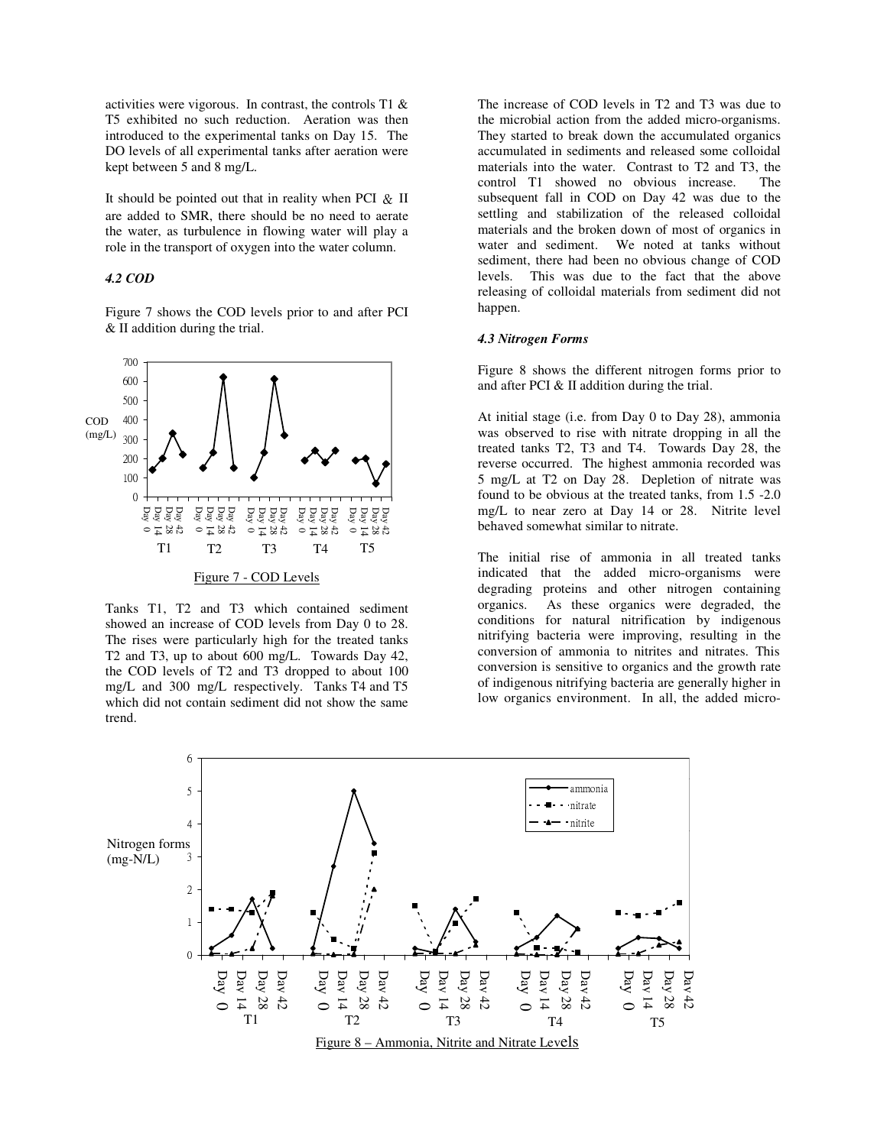activities were vigorous. In contrast, the controls T1 & T5 exhibited no such reduction. Aeration was then introduced to the experimental tanks on Day 15. The DO levels of all experimental tanks after aeration were kept between 5 and 8 mg/L.

It should be pointed out that in reality when PCI  $\&$  II are added to SMR, there should be no need to aerate the water, as turbulence in flowing water will play a role in the transport of oxygen into the water column.

# *4.2 COD*

Figure 7 shows the COD levels prior to and after PCI & II addition during the trial.



Tanks T1, T2 and T3 which contained sediment showed an increase of COD levels from Day 0 to 28. The rises were particularly high for the treated tanks T2 and T3, up to about 600 mg/L. Towards Day 42, the COD levels of T2 and T3 dropped to about 100 mg/L and 300 mg/L respectively. Tanks T4 and T5 which did not contain sediment did not show the same trend.

The increase of COD levels in T2 and T3 was due to the microbial action from the added micro-organisms. They started to break down the accumulated organics accumulated in sediments and released some colloidal materials into the water. Contrast to T2 and T3, the control T1 showed no obvious increase. The subsequent fall in COD on Day 42 was due to the settling and stabilization of the released colloidal materials and the broken down of most of organics in water and sediment. We noted at tanks without sediment, there had been no obvious change of COD levels. This was due to the fact that the above releasing of colloidal materials from sediment did not happen.

#### *4.3 Nitrogen Forms*

Figure 8 shows the different nitrogen forms prior to and after PCI & II addition during the trial.

At initial stage (i.e. from Day 0 to Day 28), ammonia was observed to rise with nitrate dropping in all the treated tanks T2, T3 and T4. Towards Day 28, the reverse occurred. The highest ammonia recorded was 5 mg/L at T2 on Day 28. Depletion of nitrate was found to be obvious at the treated tanks, from 1.5 -2.0 mg/L to near zero at Day 14 or 28. Nitrite level behaved somewhat similar to nitrate.

The initial rise of ammonia in all treated tanks indicated that the added micro-organisms were degrading proteins and other nitrogen containing organics. As these organics were degraded, the conditions for natural nitrification by indigenous nitrifying bacteria were improving, resulting in the conversion of ammonia to nitrites and nitrates. This conversion is sensitive to organics and the growth rate of indigenous nitrifying bacteria are generally higher in low organics environment. In all, the added micro-